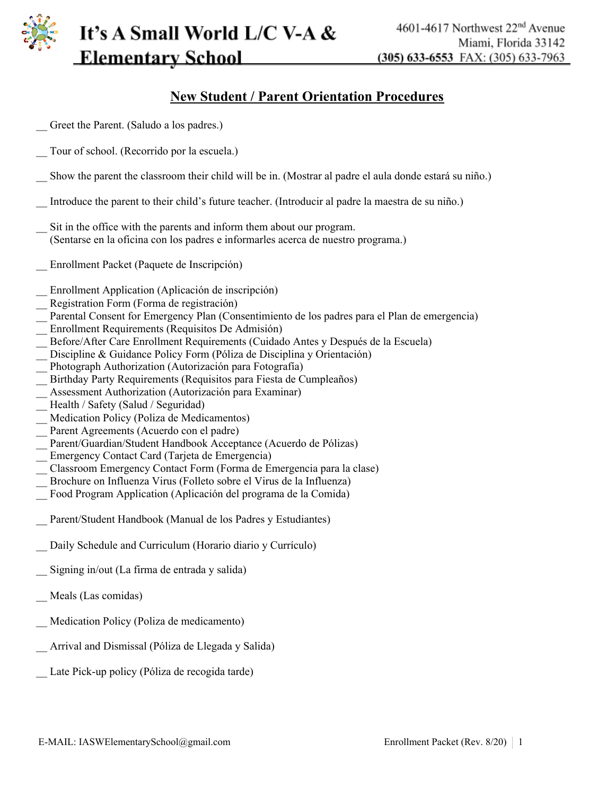

#### **New Student / Parent Orientation Procedures**

- \_\_ Greet the Parent. (Saludo a los padres.) \_\_ Tour of school. (Recorrido por la escuela.) \_\_ Show the parent the classroom their child will be in. (Mostrar al padre el aula donde estará su niño.) \_\_ Introduce the parent to their child's future teacher. (Introducir al padre la maestra de su niño.) Sit in the office with the parents and inform them about our program. (Sentarse en la oficina con los padres e informarles acerca de nuestro programa.) \_\_ Enrollment Packet (Paquete de Inscripción) \_\_ Enrollment Application (Aplicación de inscripción) \_\_ Registration Form (Forma de registración) \_\_ Parental Consent for Emergency Plan (Consentimiento de los padres para el Plan de emergencia) \_\_ Enrollment Requirements (Requisitos De Admisión) \_\_ Before/After Care Enrollment Requirements (Cuidado Antes y Después de la Escuela) Discipline & Guidance Policy Form (Póliza de Disciplina y Orientación) Photograph Authorization (Autorización para Fotografía) \_\_ Birthday Party Requirements (Requisitos para Fiesta de Cumpleaños) \_\_ Assessment Authorization (Autorización para Examinar) Health / Safety (Salud / Seguridad) Medication Policy (Poliza de Medicamentos) Parent Agreements (Acuerdo con el padre) \_\_ Parent/Guardian/Student Handbook Acceptance (Acuerdo de Pólizas) \_\_ Emergency Contact Card (Tarjeta de Emergencia) \_\_ Classroom Emergency Contact Form (Forma de Emergencia para la clase) \_\_ Brochure on Influenza Virus (Folleto sobre el Virus de la Influenza) \_\_ Food Program Application (Aplicación del programa de la Comida) Parent/Student Handbook (Manual de los Padres y Estudiantes) Daily Schedule and Curriculum (Horario diario y Currículo)
- \_\_ Signing in/out (La firma de entrada y salida)
- \_\_ Meals (Las comidas)
- \_\_ Medication Policy (Poliza de medicamento)
- \_\_ Arrival and Dismissal (Póliza de Llegada y Salida)
- Late Pick-up policy (Póliza de recogida tarde)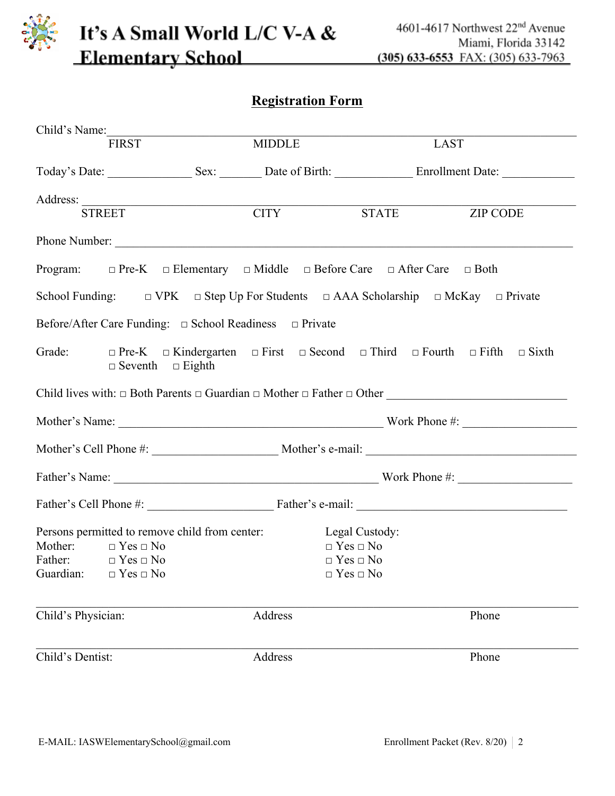#### **Registration Form**

| Child's Name:                                                                                                                                                         |               |                                                                      |                                                                                                                                                                                                                                |
|-----------------------------------------------------------------------------------------------------------------------------------------------------------------------|---------------|----------------------------------------------------------------------|--------------------------------------------------------------------------------------------------------------------------------------------------------------------------------------------------------------------------------|
| FIRST <sup>1</sup>                                                                                                                                                    | <b>MIDDLE</b> |                                                                      | LAST                                                                                                                                                                                                                           |
|                                                                                                                                                                       |               |                                                                      | Today's Date: Sex: Sex: Date of Birth: Enrollment Date: Sex: Next, and Sex: Next, and Sex: Next, and Sex: Next, and Sex: Next, and Sex: Next, and Sex: Next, and Sex: Next, and Sex: Next, and Sex: Next, and Sex: Next, and S |
| Address: STREET CITY                                                                                                                                                  |               |                                                                      | STATE ZIP CODE                                                                                                                                                                                                                 |
|                                                                                                                                                                       |               |                                                                      | Phone Number:                                                                                                                                                                                                                  |
| Program: $\Box$ Pre-K $\Box$ Elementary $\Box$ Middle $\Box$ Before Care $\Box$ After Care $\Box$ Both                                                                |               |                                                                      |                                                                                                                                                                                                                                |
| School Funding: $\Box$ VPK $\Box$ Step Up For Students $\Box$ AAA Scholarship $\Box$ McKay $\Box$ Private                                                             |               |                                                                      |                                                                                                                                                                                                                                |
| Before/After Care Funding: $\Box$ School Readiness $\Box$ Private                                                                                                     |               |                                                                      |                                                                                                                                                                                                                                |
| $\Box$ Seventh $\Box$ Eighth                                                                                                                                          |               |                                                                      | Grade: $\Box$ Pre-K $\Box$ Kindergarten $\Box$ First $\Box$ Second $\Box$ Third $\Box$ Fourth $\Box$ Fifth $\Box$ Sixth                                                                                                        |
|                                                                                                                                                                       |               |                                                                      | Child lives with: $\Box$ Both Parents $\Box$ Guardian $\Box$ Mother $\Box$ Father $\Box$ Other                                                                                                                                 |
|                                                                                                                                                                       |               |                                                                      | Mother's Name: Work Phone #:                                                                                                                                                                                                   |
|                                                                                                                                                                       |               |                                                                      |                                                                                                                                                                                                                                |
|                                                                                                                                                                       |               |                                                                      |                                                                                                                                                                                                                                |
|                                                                                                                                                                       |               |                                                                      |                                                                                                                                                                                                                                |
| Persons permitted to remove child from center: Legal Custody:<br>Mother: $\Box$ Yes $\Box$ No<br>Father: $\square$ Yes $\square$ No<br>Guardian: $\Box$ Yes $\Box$ No |               | $\Box$ Yes $\Box$ No<br>$\Box$ Yes $\Box$ No<br>$\Box$ Yes $\Box$ No |                                                                                                                                                                                                                                |
| Child's Physician:                                                                                                                                                    | Address       |                                                                      | Phone                                                                                                                                                                                                                          |
| Child's Dentist:                                                                                                                                                      | Address       |                                                                      | Phone                                                                                                                                                                                                                          |
|                                                                                                                                                                       |               |                                                                      |                                                                                                                                                                                                                                |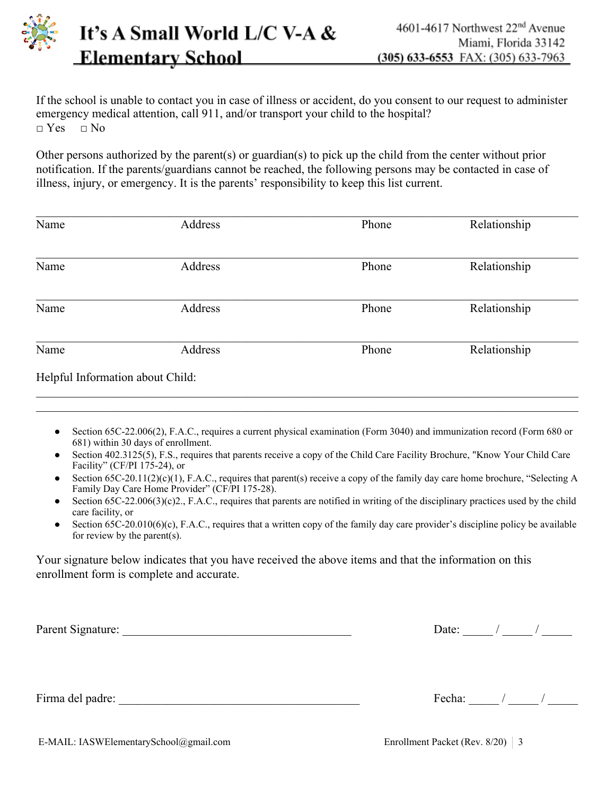

If the school is unable to contact you in case of illness or accident, do you consent to our request to administer emergency medical attention, call 911, and/or transport your child to the hospital?  $\neg$  Yes  $\neg$  No

Other persons authorized by the parent(s) or guardian(s) to pick up the child from the center without prior notification. If the parents/guardians cannot be reached, the following persons may be contacted in case of illness, injury, or emergency. It is the parents' responsibility to keep this list current.

| Name                             | Address | Phone | Relationship |
|----------------------------------|---------|-------|--------------|
|                                  |         |       |              |
| Name                             | Address | Phone | Relationship |
| Name                             | Address | Phone | Relationship |
| Name                             | Address | Phone | Relationship |
| Helpful Information about Child: |         |       |              |

Section 65C-22.006(2), F.A.C., requires a current physical examination (Form 3040) and immunization record (Form 680 or 681) within 30 days of enrollment.

 $\_$  , and the contribution of the contribution of the contribution of the contribution of the contribution of  $\mathcal{L}_\text{max}$ 

- Section 402.3125(5), F.S., requires that parents receive a copy of the Child Care Facility Brochure, "Know Your Child Care Facility" (CF/PI 175-24), or
- Section 65C-20.11(2)(c)(1), F.A.C., requires that parent(s) receive a copy of the family day care home brochure, "Selecting A Family Day Care Home Provider" (CF/PI 175-28).
- Section  $65C-22.006(3)(c)2$ ., F.A.C., requires that parents are notified in writing of the disciplinary practices used by the child care facility, or
- Section  $65C-20.010(6)(c)$ , F.A.C., requires that a written copy of the family day care provider's discipline policy be available for review by the parent(s).

Your signature below indicates that you have received the above items and that the information on this enrollment form is complete and accurate.

Parent Signature: \_\_\_\_\_\_\_\_\_\_\_\_\_\_\_\_\_\_\_\_\_\_\_\_\_\_\_\_\_\_\_\_\_\_\_\_\_\_ Date: \_\_\_\_\_ / \_\_\_\_\_ / \_\_\_\_\_

Firma del padre:  $\frac{1}{2}$  Fecha:  $\frac{1}{2}$  /  $\frac{1}{2}$  /  $\frac{1}{2}$  /  $\frac{1}{2}$  /  $\frac{1}{2}$  /  $\frac{1}{2}$  /  $\frac{1}{2}$  /  $\frac{1}{2}$  /  $\frac{1}{2}$  /  $\frac{1}{2}$  /  $\frac{1}{2}$  /  $\frac{1}{2}$  /  $\frac{1}{2}$  /  $\frac{1}{2}$  /  $\frac{1}{2}$  /  $\frac{1}{2}$ 

E-MAIL: IASWElementarySchool@gmail.com Enrollment Packet (Rev. 8/20) 3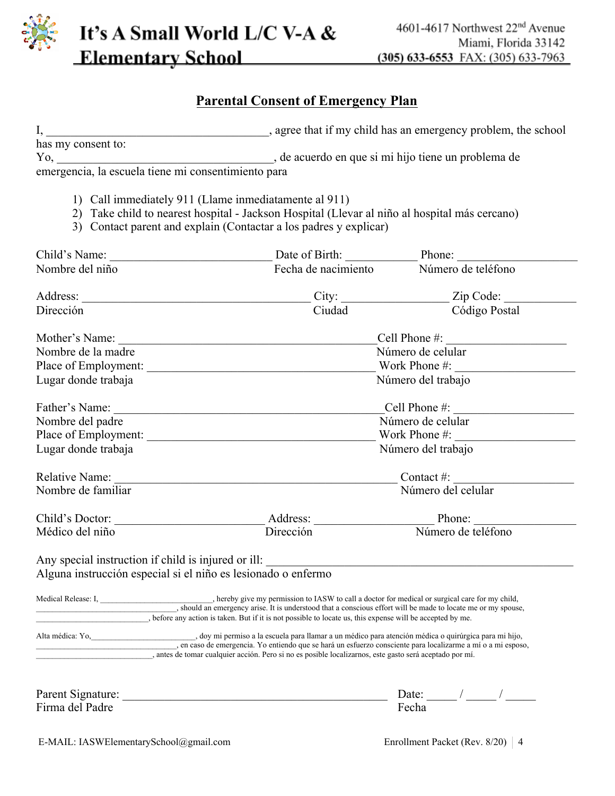

#### **Parental Consent of Emergency Plan**

| has my consent to:                                            |                                                                                                                                                                                                                                                                                                                                              |                                                   |  |  |  |
|---------------------------------------------------------------|----------------------------------------------------------------------------------------------------------------------------------------------------------------------------------------------------------------------------------------------------------------------------------------------------------------------------------------------|---------------------------------------------------|--|--|--|
|                                                               | Yo, se acuerdo en que si mi hijo tiene un problema de emergencia, la escuela tiene mi consentimiento para                                                                                                                                                                                                                                    |                                                   |  |  |  |
|                                                               |                                                                                                                                                                                                                                                                                                                                              |                                                   |  |  |  |
|                                                               | 1) Call immediately 911 (Llame inmediatamente al 911)                                                                                                                                                                                                                                                                                        |                                                   |  |  |  |
|                                                               | 2) Take child to nearest hospital - Jackson Hospital (Llevar al niño al hospital más cercano)                                                                                                                                                                                                                                                |                                                   |  |  |  |
|                                                               | 3) Contact parent and explain (Contactar a los padres y explicar)                                                                                                                                                                                                                                                                            |                                                   |  |  |  |
|                                                               |                                                                                                                                                                                                                                                                                                                                              |                                                   |  |  |  |
| Nombre del niño                                               | Fecha de nacimiento Número de teléfono                                                                                                                                                                                                                                                                                                       |                                                   |  |  |  |
|                                                               |                                                                                                                                                                                                                                                                                                                                              |                                                   |  |  |  |
| Dirección                                                     | Ciudad                                                                                                                                                                                                                                                                                                                                       | Código Postal                                     |  |  |  |
|                                                               |                                                                                                                                                                                                                                                                                                                                              | $\text{Cell Phone} \#:\underline{\qquad \qquad }$ |  |  |  |
| Nombre de la madre                                            |                                                                                                                                                                                                                                                                                                                                              | Número de celular                                 |  |  |  |
|                                                               |                                                                                                                                                                                                                                                                                                                                              |                                                   |  |  |  |
| Lugar donde trabaja                                           |                                                                                                                                                                                                                                                                                                                                              | Número del trabajo                                |  |  |  |
| Father's Name:                                                |                                                                                                                                                                                                                                                                                                                                              | Cell Phone $\#$ :                                 |  |  |  |
| Nombre del padre                                              | Número de celular                                                                                                                                                                                                                                                                                                                            |                                                   |  |  |  |
|                                                               |                                                                                                                                                                                                                                                                                                                                              |                                                   |  |  |  |
| Lugar donde trabaja                                           |                                                                                                                                                                                                                                                                                                                                              | Número del trabajo                                |  |  |  |
| Relative Name:                                                | <u> 1980 - Jan Samuel Barbara, margaret e populari e populari e populari e populari e populari e populari e popu</u>                                                                                                                                                                                                                         | Contact #: $\_\_\_\_\_\_\_\_\_\_\_\_\_$           |  |  |  |
| Nombre de familiar                                            |                                                                                                                                                                                                                                                                                                                                              | Número del celular                                |  |  |  |
|                                                               |                                                                                                                                                                                                                                                                                                                                              |                                                   |  |  |  |
| Médico del niño                                               | Dirección                                                                                                                                                                                                                                                                                                                                    | Número de teléfono                                |  |  |  |
| Any special instruction if child is injured or ill:           |                                                                                                                                                                                                                                                                                                                                              |                                                   |  |  |  |
| Alguna instrucción especial si el niño es lesionado o enfermo |                                                                                                                                                                                                                                                                                                                                              |                                                   |  |  |  |
|                                                               | Medical Release: I, hereby give my permission to IASW to call a doctor for medical or surgical care for my child,                                                                                                                                                                                                                            |                                                   |  |  |  |
|                                                               | , before any action is taken. But if it is not possible to locate us, this expense will be accepted by me.                                                                                                                                                                                                                                   |                                                   |  |  |  |
|                                                               | Alta médica: Yo, doy mi permiso a la escuela para llamar a un médico para atención médica o quirúrgica para mi hijo,<br>en caso de emergencia. Yo entiendo que se hará un esfuerzo consciente para localizarme a mí o a mi esposo<br>, antes de tomar cualquier acción. Pero si no es posible localizarnos, este gasto será aceptado por mí. |                                                   |  |  |  |
|                                                               |                                                                                                                                                                                                                                                                                                                                              |                                                   |  |  |  |
| Parent Signature:                                             |                                                                                                                                                                                                                                                                                                                                              | Date:                                             |  |  |  |

Firma del Padre

| Date: |  |  |
|-------|--|--|
| Fecha |  |  |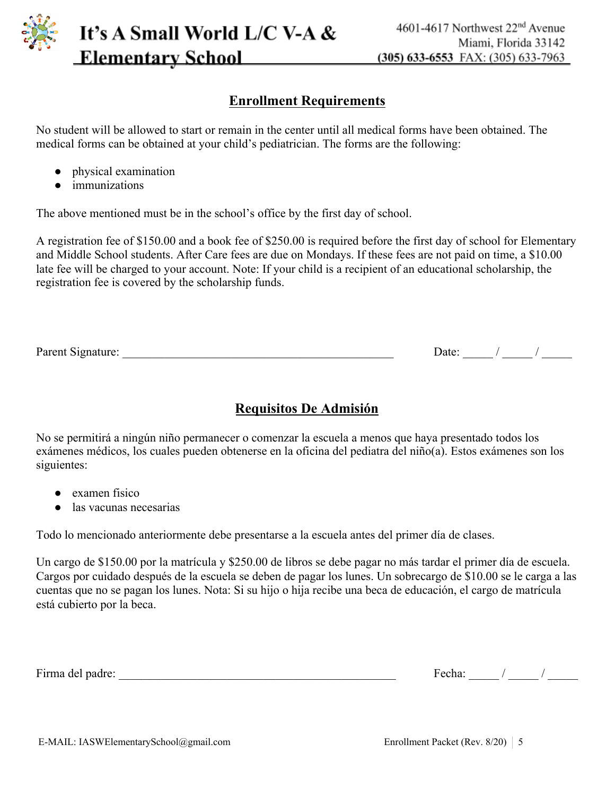

#### **Enrollment Requirements**

No student will be allowed to start or remain in the center until all medical forms have been obtained. The medical forms can be obtained at your child's pediatrician. The forms are the following:

- physical examination
- immunizations

The above mentioned must be in the school's office by the first day of school.

A registration fee of \$150.00 and a book fee of \$250.00 is required before the first day of school for Elementary and Middle School students. After Care fees are due on Mondays. If these fees are not paid on time, a \$10.00 late fee will be charged to your account. Note: If your child is a recipient of an educational scholarship, the registration fee is covered by the scholarship funds.

| Parent Signature: | Jate |  |
|-------------------|------|--|
|                   |      |  |

#### **Requisitos De Admisión**

No se permitirá a ningún niño permanecer o comenzar la escuela a menos que haya presentado todos los exámenes médicos, los cuales pueden obtenerse en la oficina del pediatra del niño(a). Estos exámenes son los siguientes:

- examen físico
- las vacunas necesarias

Todo lo mencionado anteriormente debe presentarse a la escuela antes del primer día de clases.

Un cargo de \$150.00 por la matrícula y \$250.00 de libros se debe pagar no más tardar el primer día de escuela. Cargos por cuidado después de la escuela se deben de pagar los lunes. Un sobrecargo de \$10.00 se le carga a las cuentas que no se pagan los lunes. Nota: Si su hijo o hija recibe una beca de educación, el cargo de matrícula está cubierto por la beca.

Firma del padre: \_\_\_\_\_\_\_\_\_\_\_\_\_\_\_\_\_\_\_\_\_\_\_\_\_\_\_\_\_\_\_\_\_\_\_\_\_\_\_\_\_\_\_\_\_\_ Fecha: \_\_\_\_\_ / \_\_\_\_\_ / \_\_\_\_\_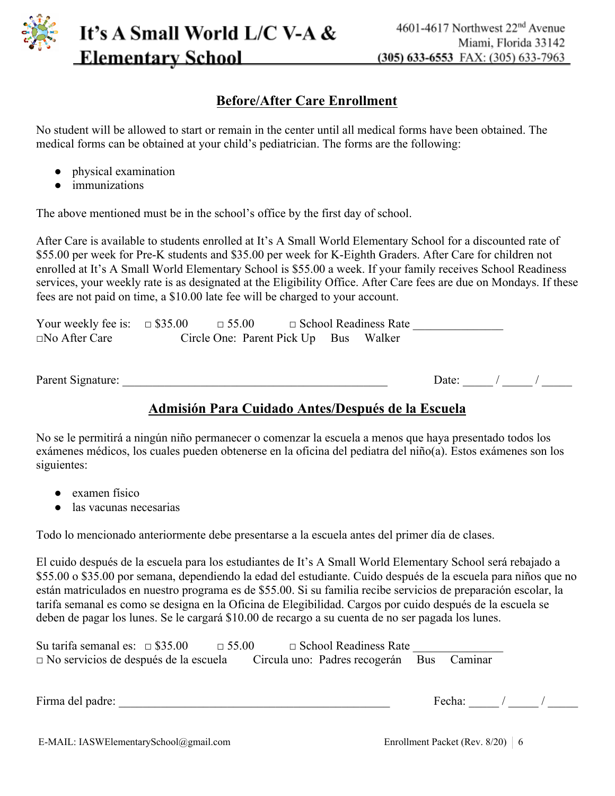

#### **Before/After Care Enrollment**

No student will be allowed to start or remain in the center until all medical forms have been obtained. The medical forms can be obtained at your child's pediatrician. The forms are the following:

- physical examination
- immunizations

The above mentioned must be in the school's office by the first day of school.

After Care is available to students enrolled at It's A Small World Elementary School for a discounted rate of \$55.00 per week for Pre-K students and \$35.00 per week for K-Eighth Graders. After Care for children not enrolled at It's A Small World Elementary School is \$55.00 a week. If your family receives School Readiness services, your weekly rate is as designated at the Eligibility Office. After Care fees are due on Mondays. If these fees are not paid on time, a \$10.00 late fee will be charged to your account.

| Your weekly fee is: $\Box$ \$35.00 | $\Box$ 55.00                          |  | $\Box$ School Readiness Rate |  |
|------------------------------------|---------------------------------------|--|------------------------------|--|
| $\Box$ No After Care               | Circle One: Parent Pick Up Bus Walker |  |                              |  |
|                                    |                                       |  |                              |  |
|                                    |                                       |  |                              |  |

Parent Signature: \_\_\_\_\_\_\_\_\_\_\_\_\_\_\_\_\_\_\_\_\_\_\_\_\_\_\_\_\_\_\_\_\_\_\_\_\_\_\_\_\_\_\_\_ Date: \_\_\_\_\_ / \_\_\_\_\_ / \_\_\_\_\_

#### **Admisión Para Cuidado Antes/Después de la Escuela**

No se le permitirá a ningún niño permanecer o comenzar la escuela a menos que haya presentado todos los exámenes médicos, los cuales pueden obtenerse en la oficina del pediatra del niño(a). Estos exámenes son los siguientes:

- examen físico
- las vacunas necesarias

Todo lo mencionado anteriormente debe presentarse a la escuela antes del primer día de clases.

El cuido después de la escuela para los estudiantes de It's A Small World Elementary School será rebajado a \$55.00 o \$35.00 por semana, dependiendo la edad del estudiante. Cuido después de la escuela para niños que no están matriculados en nuestro programa es de \$55.00. Si su familia recibe servicios de preparación escolar, la tarifa semanal es como se designa en la Oficina de Elegibilidad. Cargos por cuido después de la escuela se deben de pagar los lunes. Se le cargará \$10.00 de recargo a su cuenta de no ser pagada los lunes.

| Su tarifa semanal es: $\Box$ \$35.00         | $\Box$ 55.00 | $\Box$ School Readiness Rate              |  |
|----------------------------------------------|--------------|-------------------------------------------|--|
| $\Box$ No servicios de después de la escuela |              | Circula uno: Padres recogerán Bus Caminar |  |

Firma del padre:  $\frac{1}{2}$  Fecha:  $\frac{1}{2}$  /  $\frac{1}{2}$  /  $\frac{1}{2}$  /  $\frac{1}{2}$  /  $\frac{1}{2}$  /  $\frac{1}{2}$  /  $\frac{1}{2}$  /  $\frac{1}{2}$  /  $\frac{1}{2}$  /  $\frac{1}{2}$  /  $\frac{1}{2}$  /  $\frac{1}{2}$  /  $\frac{1}{2}$  /  $\frac{1}{2}$  /  $\frac{1}{2}$  /  $\frac{1}{2}$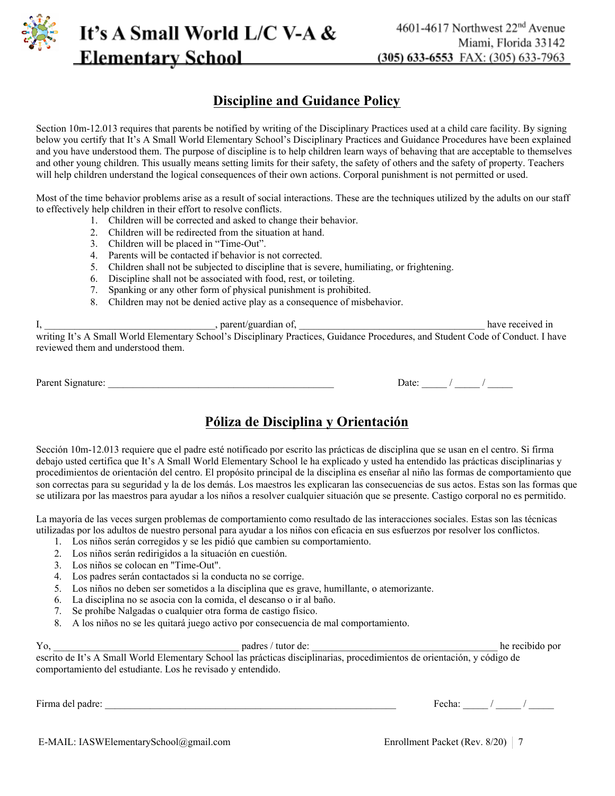

#### **Discipline and Guidance Policy**

Section 10m-12.013 requires that parents be notified by writing of the Disciplinary Practices used at a child care facility. By signing below you certify that It's A Small World Elementary School's Disciplinary Practices and Guidance Procedures have been explained and you have understood them. The purpose of discipline is to help children learn ways of behaving that are acceptable to themselves and other young children. This usually means setting limits for their safety, the safety of others and the safety of property. Teachers will help children understand the logical consequences of their own actions. Corporal punishment is not permitted or used.

Most of the time behavior problems arise as a result of social interactions. These are the techniques utilized by the adults on our staff to effectively help children in their effort to resolve conflicts.

- 1. Children will be corrected and asked to change their behavior.
- 2. Children will be redirected from the situation at hand.
- 3. Children will be placed in "Time-Out".
- 4. Parents will be contacted if behavior is not corrected.
- 5. Children shall not be subjected to discipline that is severe, humiliating, or frightening.
- 6. Discipline shall not be associated with food, rest, or toileting.
- 7. Spanking or any other form of physical punishment is prohibited.
- 8. Children may not be denied active play as a consequence of misbehavior.

| , parent/guardian of,                                                                                                           | have received in |
|---------------------------------------------------------------------------------------------------------------------------------|------------------|
| writing It's A Small World Elementary School's Disciplinary Practices, Guidance Procedures, and Student Code of Conduct. I have |                  |
| reviewed them and understood them.                                                                                              |                  |

Parent Signature: \_\_\_\_\_\_\_\_\_\_\_\_\_\_\_\_\_\_\_\_\_\_\_\_\_\_\_\_\_\_\_\_\_\_\_\_\_\_\_\_\_\_\_\_\_ Date: \_\_\_\_\_ / \_\_\_\_\_ / \_\_\_\_\_

#### **Póliza de Disciplina y Orientación**

Sección 10m-12.013 requiere que el padre esté notificado por escrito las prácticas de disciplina que se usan en el centro. Si firma debajo usted certifica que It's A Small World Elementary School le ha explicado y usted ha entendido las prácticas disciplinarias y procedimientos de orientación del centro. El propósito principal de la disciplina es enseñar al niño las formas de comportamiento que son correctas para su seguridad y la de los demás. Los maestros les explicaran las consecuencias de sus actos. Estas son las formas que se utilizara por las maestros para ayudar a los niños a resolver cualquier situación que se presente. Castigo corporal no es permitido.

La mayoría de las veces surgen problemas de comportamiento como resultado de las interacciones sociales. Estas son las técnicas utilizadas por los adultos de nuestro personal para ayudar a los niños con eficacia en sus esfuerzos por resolver los conflictos.

- 1. Los niños serán corregidos y se les pidió que cambien su comportamiento.
- 2. Los niños serán redirigidos a la situación en cuestión.
- 3. Los niños se colocan en "Time-Out".
- 4. Los padres serán contactados si la conducta no se corrige.
- 5. Los niños no deben ser sometidos a la disciplina que es grave, humillante, o atemorizante.
- 6. La disciplina no se asocia con la comida, el descanso o ir al baño.
- 7. Se prohíbe Nalgadas o cualquier otra forma de castigo físico.
- 8. A los niños no se les quitará juego activo por consecuencia de mal comportamiento.

#### Yo, tutor de:  $\frac{1}{2}$  padres / tutor de:  $\frac{1}{2}$  he recibido por

escrito de It's A Small World Elementary School las prácticas disciplinarias, procedimientos de orientación, y código de comportamiento del estudiante. Los he revisado y entendido.

Firma del padre: \_\_\_\_\_\_\_\_\_\_\_\_\_\_\_\_\_\_\_\_\_\_\_\_\_\_\_\_\_\_\_\_\_\_\_\_\_\_\_\_\_\_\_\_\_\_\_\_\_\_\_\_\_\_\_\_\_\_ Fecha: \_\_\_\_\_ / \_\_\_\_\_ / \_\_\_\_\_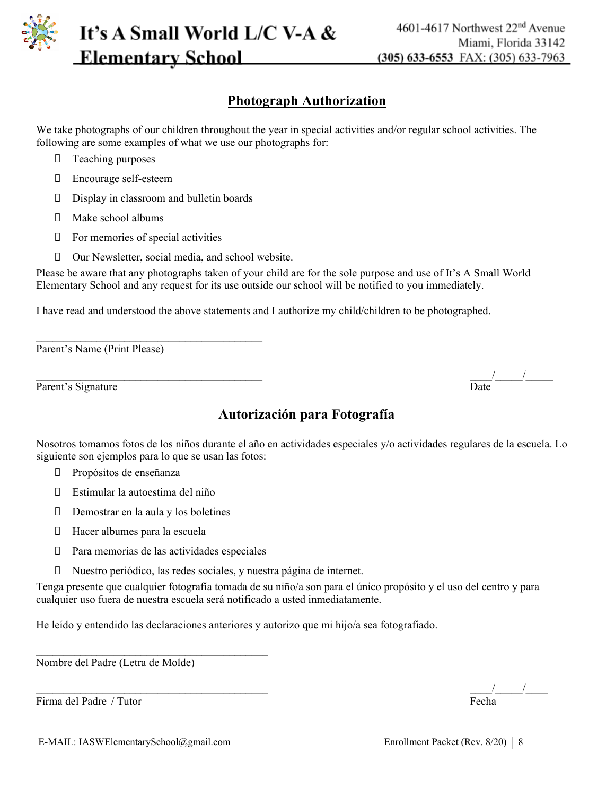

#### **Photograph Authorization**

We take photographs of our children throughout the year in special activities and/or regular school activities. The following are some examples of what we use our photographs for:

- **T** Teaching purposes
- Encourage self-esteem
- Display in classroom and bulletin boards
- $\Box$  Make school albums
- $\Box$  For memories of special activities

 $\mathcal{L}_\text{max}$ 

Our Newsletter, social media, and school website.

Please be aware that any photographs taken of your child are for the sole purpose and use of It's A Small World Elementary School and any request for its use outside our school will be notified to you immediately.

I have read and understood the above statements and I authorize my child/children to be photographed.

Parent's Name (Print Please)

| Parent's Signature | Date |
|--------------------|------|
|                    |      |

#### **Autorización para Fotografía**

Nosotros tomamos fotos de los niños durante el año en actividades especiales y/o actividades regulares de la escuela. Lo siguiente son ejemplos para lo que se usan las fotos:

- D Propósitos de enseñanza
- Estimular la autoestima del niño
- $\Box$  Demostrar en la aula y los boletines
- Hacer albumes para la escuela
- $\Box$  Para memorias de las actividades especiales

 $\mathcal{L}_\text{max}$ 

Nuestro periódico, las redes sociales, y nuestra página de internet.

Tenga presente que cualquier fotografía tomada de su niño/a son para el único propósito y el uso del centro y para cualquier uso fuera de nuestra escuela será notificado a usted inmediatamente.

He leído y entendido las declaraciones anteriores y autorizo que mi hijo/a sea fotografiado.

Nombre del Padre (Letra de Molde)

Firma del Padre / Tutor Fecha

 $\frac{1}{\sqrt{1-\frac{1}{2}}}$ 

\_\_\_\_\_\_\_\_\_\_\_\_\_\_\_\_\_\_\_\_\_\_\_\_\_\_\_\_\_\_\_\_\_\_\_\_\_\_\_\_\_ \_\_\_\_/\_\_\_\_\_/\_\_\_\_\_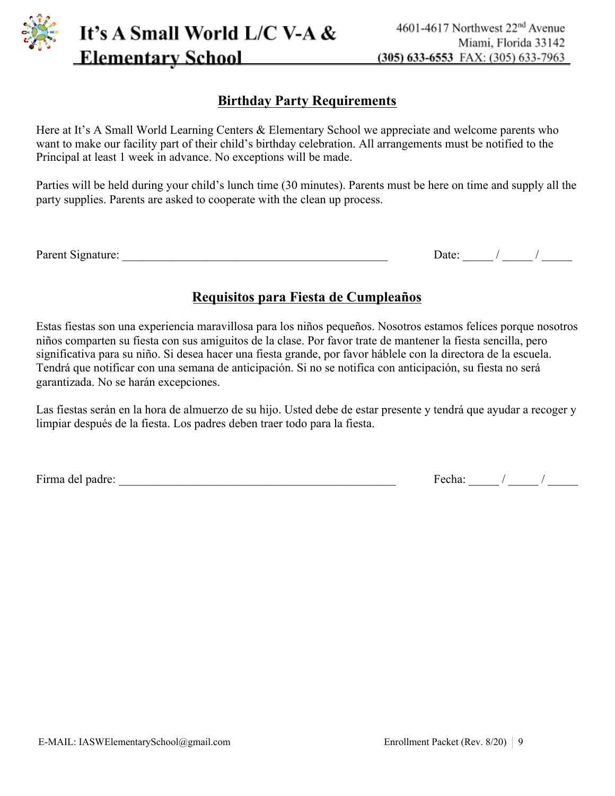

**Birthday Party Requirements**

It's A Small World L/C V-A &

**Elementary School** 

Here at It's A Small World Learning Centers & Elementary School we appreciate and welcome parents who want to make our facility part of their child's birthday celebration. All arrangements must be notified to the Principal at least 1 week in advance. No exceptions will be made.

Parties will be held during your child's lunch time (30 minutes). Parents must be here on time and supply all the party supplies. Parents are asked to cooperate with the clean up process.

### **Requisitos para Fiesta de Cumpleaños**

Estas fiestas son una experiencia maravillosa para los niños pequeños. Nosotros estamos felices porque nosotros niños comparten su fiesta con sus amiguitos de la clase. Por favor trate de mantener la fiesta sencilla, pero significativa para su niño. Si desea hacer una fiesta grande, por favor háblele con la directora de la escuela. Tendrá que notificar con una semana de anticipación. Si no se notifica con anticipación, su fiesta no será garantizada. No se harán excepciones.

Las fiestas serán en la hora de almuerzo de su hijo. Usted debe de estar presente y tendrá que ayudar a recoger y limpiar después de la fiesta. Los padres deben traer todo para la fiesta.

Firma del padre: \_\_\_\_\_\_\_\_\_\_\_\_\_\_\_\_\_\_\_\_\_\_\_\_\_\_\_\_\_\_\_\_\_\_\_\_\_\_\_\_\_\_\_\_\_\_ Fecha: \_\_\_\_\_ / \_\_\_\_\_ / \_\_\_\_\_

Parent Signature: \_\_\_\_\_\_\_\_\_\_\_\_\_\_\_\_\_\_\_\_\_\_\_\_\_\_\_\_\_\_\_\_\_\_\_\_\_\_\_\_\_\_\_\_ Date: \_\_\_\_\_ / \_\_\_\_\_ / \_\_\_\_\_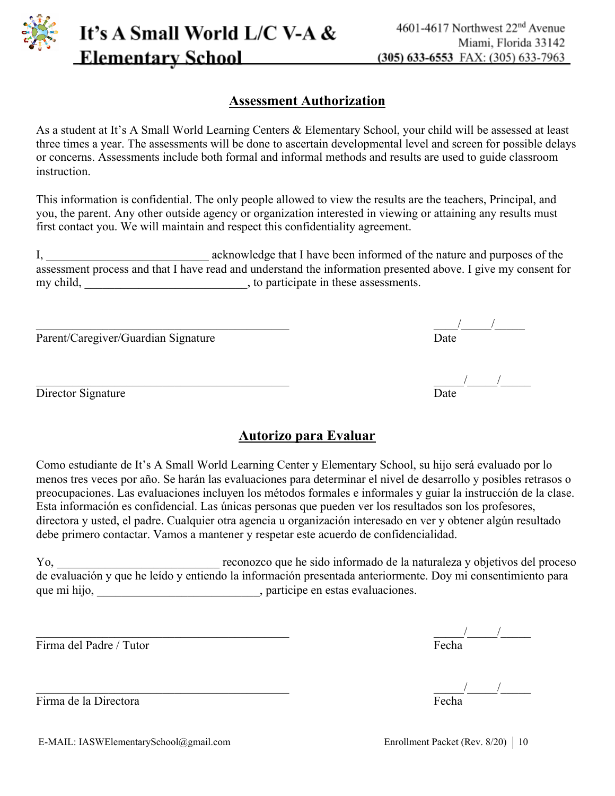

#### **Assessment Authorization**

As a student at It's A Small World Learning Centers & Elementary School, your child will be assessed at least three times a year. The assessments will be done to ascertain developmental level and screen for possible delays or concerns. Assessments include both formal and informal methods and results are used to guide classroom **instruction** 

This information is confidential. The only people allowed to view the results are the teachers, Principal, and you, the parent. Any other outside agency or organization interested in viewing or attaining any results must first contact you. We will maintain and respect this confidentiality agreement.

I, \_\_\_\_\_\_\_\_\_\_\_\_\_\_\_\_\_\_\_\_\_\_\_\_\_\_\_ acknowledge that I have been informed of the nature and purposes of the assessment process and that I have read and understand the information presented above. I give my consent for my child, \_\_\_\_\_\_\_\_\_\_\_\_\_\_\_\_\_\_\_\_\_\_\_\_, to participate in these assessments.

Parent/Caregiver/Guardian Signature

Director Signature

# $\frac{1}{\text{Date}}$

 $\frac{1}{\text{Date}}$ 

#### **Autorizo para Evaluar**

Como estudiante de It's A Small World Learning Center y Elementary School, su hijo será evaluado por lo menos tres veces por año. Se harán las evaluaciones para determinar el nivel de desarrollo y posibles retrasos o preocupaciones. Las evaluaciones incluyen los métodos formales e informales y guiar la instrucción de la clase. Esta información es confidencial. Las únicas personas que pueden ver los resultados son los profesores, directora y usted, el padre. Cualquier otra agencia u organización interesado en ver y obtener algún resultado debe primero contactar. Vamos a mantener y respetar este acuerdo de confidencialidad.

Yo, \_\_\_\_\_\_\_\_\_\_\_\_\_\_\_\_\_\_\_\_\_\_\_\_\_\_\_ reconozco que he sido informado de la naturaleza y objetivos del proceso de evaluación y que he leído y entiendo la información presentada anteriormente. Doy mi consentimiento para que mi hijo, \_\_\_\_\_\_\_\_\_\_\_\_\_\_\_\_\_\_\_\_\_\_\_\_\_\_\_\_\_, participe en estas evaluaciones.

Firma del Padre / Tutor

Firma de la Directora

\_\_\_\_\_\_\_\_\_\_\_\_\_\_\_\_\_\_\_\_\_\_\_\_\_\_\_\_\_\_\_\_\_\_\_\_\_\_\_\_\_\_ \_\_\_\_\_/\_\_\_\_\_/\_\_\_\_\_

 $\frac{1}{\text{Fecha}}$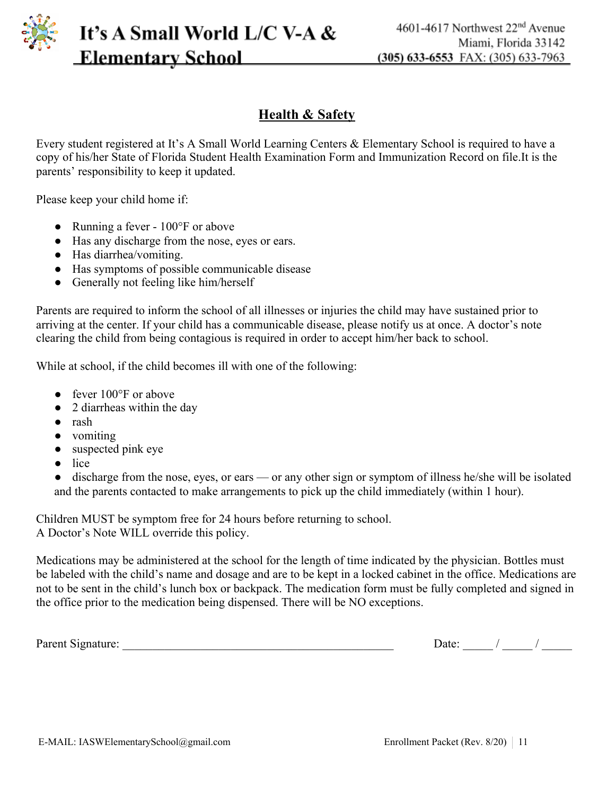

Parent Signature: \_\_\_\_\_\_\_\_\_\_\_\_\_\_\_\_\_\_\_\_\_\_\_\_\_\_\_\_\_\_\_\_\_\_\_\_\_\_\_\_\_\_\_\_\_ Date: \_\_\_\_\_ / \_\_\_\_\_ / \_\_\_\_\_

A Doctor's Note WILL override this policy. Medications may be administered at the school for the length of time indicated by the physician. Bottles must

be labeled with the child's name and dosage and are to be kept in a locked cabinet in the office. Medications are not to be sent in the child's lunch box or backpack. The medication form must be fully completed and signed in

and the parents contacted to make arrangements to pick up the child immediately (within 1 hour).

• discharge from the nose, eyes, or ears — or any other sign or symptom of illness he/she will be isolated

Children MUST be symptom free for 24 hours before returning to school.

the office prior to the medication being dispensed. There will be NO exceptions.

arriving at the center. If your child has a communicable disease, please notify us at once. A doctor's note clearing the child from being contagious is required in order to accept him/her back to school.

• Running a fever -  $100^{\circ}$ F or above

parents' responsibility to keep it updated.

**Elementary School** 

- Has any discharge from the nose, eyes or ears.
- Has diarrhea/vomiting.

Please keep your child home if:

● Has symptoms of possible communicable disease

It's A Small World L/C V-A &

• Generally not feeling like him/herself

Parents are required to inform the school of all illnesses or injuries the child may have sustained prior to

**Health & Safety**

Every student registered at It's A Small World Learning Centers & Elementary School is required to have a copy of his/her State of Florida Student Health Examination Form and Immunization Record on file.It is the

While at school, if the child becomes ill with one of the following:

- fever  $100^{\circ}$ F or above
- 
- 2 diarrheas within the day
- 
- rash
- vomiting
- 
- suspected pink eye
- lice

4601-4617 Northwest 22<sup>nd</sup> Avenue Miami, Florida 33142  $(305)$  633-6553 FAX: (305) 633-7963

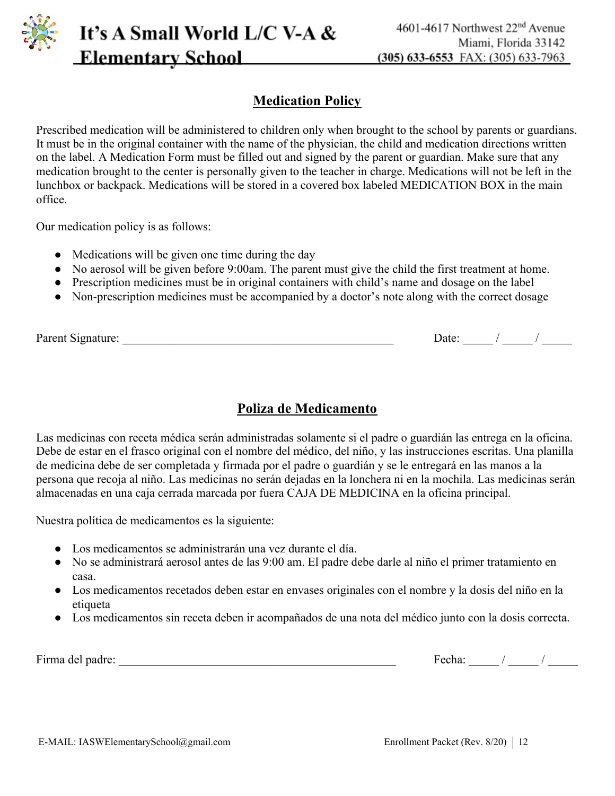

#### **Medication Policy**

Prescribed medication will be administered to children only when brought to the school by parents or guardians. It must be in the original container with the name of the physician, the child and medication directions written on the label. A Medication Form must be filled out and signed by the parent or guardian. Make sure that any medication brought to the center is personally given to the teacher in charge. Medications will not be left in the lunchbox or backpack. Medications will be stored in a covered box labeled MEDICATION BOX in the main office.

Our medication policy is as follows:

- Medications will be given one time during the day
- No aerosol will be given before 9:00am. The parent must give the child the first treatment at home.
- Prescription medicines must be in original containers with child's name and dosage on the label
- Non-prescription medicines must be accompanied by a doctor's note along with the correct dosage

| Parent Signature: | Date: |
|-------------------|-------|

#### **Poliza de Medicamento**

Las medicinas con receta médica serán administradas solamente si el padre o guardián las entrega en la oficina. Debe de estar en el frasco original con el nombre del médico, del niño, y las instrucciones escritas. Una planilla de medicina debe de ser completada y firmada por el padre o guardián y se le entregará en las manos a la persona que recoja al niño. Las medicinas no serán dejadas en la lonchera ni en la mochila. Las medicinas serán almacenadas en una caja cerrada marcada por fuera CAJA DE MEDICINA en la oficina principal.

Nuestra política de medicamentos es la siguiente:

- Los medicamentos se administrarán una vez durante el día.
- No se administrará aerosol antes de las 9:00 am. El padre debe darle al niño el primer tratamiento en casa.
- Los medicamentos recetados deben estar en envases originales con el nombre y la dosis del niño en la etiqueta
- Los medicamentos sin receta deben ir acompañados de una nota del médico junto con la dosis correcta.

Firma del padre: \_\_\_\_\_\_\_\_\_\_\_\_\_\_\_\_\_\_\_\_\_\_\_\_\_\_\_\_\_\_\_\_\_\_\_\_\_\_\_\_\_\_\_\_\_\_ Fecha: \_\_\_\_\_ / \_\_\_\_\_ / \_\_\_\_\_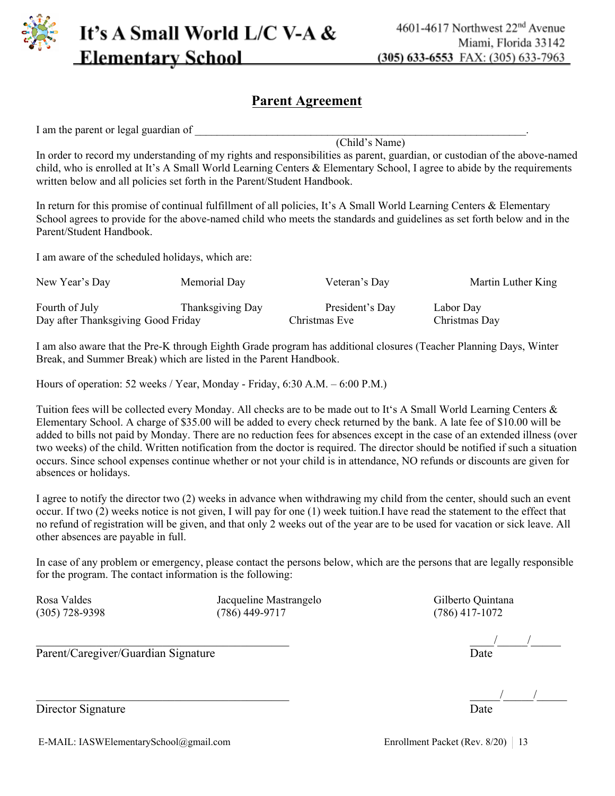

#### **Parent Agreement**

I am the parent or legal guardian of

(Child's Name)

In order to record my understanding of my rights and responsibilities as parent, guardian, or custodian of the above-named child, who is enrolled at It's A Small World Learning Centers & Elementary School, I agree to abide by the requirements written below and all policies set forth in the Parent/Student Handbook.

In return for this promise of continual fulfillment of all policies, It's A Small World Learning Centers & Elementary School agrees to provide for the above-named child who meets the standards and guidelines as set forth below and in the Parent/Student Handbook.

I am aware of the scheduled holidays, which are:

| New Year's Day                     | Memorial Day     | Veteran's Day   | Martin Luther King |
|------------------------------------|------------------|-----------------|--------------------|
| Fourth of July                     | Thanksgiving Day | President's Day | Labor Day          |
| Day after Thanksgiving Good Friday |                  | Christmas Eve   | Christmas Day      |

I am also aware that the Pre-K through Eighth Grade program has additional closures (Teacher Planning Days, Winter Break, and Summer Break) which are listed in the Parent Handbook.

Hours of operation: 52 weeks / Year, Monday - Friday, 6:30 A.M. – 6:00 P.M.)

Tuition fees will be collected every Monday. All checks are to be made out to It's A Small World Learning Centers & Elementary School. A charge of \$35.00 will be added to every check returned by the bank. A late fee of \$10.00 will be added to bills not paid by Monday. There are no reduction fees for absences except in the case of an extended illness (over two weeks) of the child. Written notification from the doctor is required. The director should be notified if such a situation occurs. Since school expenses continue whether or not your child is in attendance, NO refunds or discounts are given for absences or holidays.

I agree to notify the director two (2) weeks in advance when withdrawing my child from the center, should such an event occur. If two (2) weeks notice is not given, I will pay for one (1) week tuition.I have read the statement to the effect that no refund of registration will be given, and that only 2 weeks out of the year are to be used for vacation or sick leave. All other absences are payable in full.

In case of any problem or emergency, please contact the persons below, which are the persons that are legally responsible for the program. The contact information is the following:

Rosa Valdes Jacqueline Mastrangelo Gilberto Quintana (305) 728-9398 (786) 449-9717 (786) 417-1072

\_\_\_\_\_\_\_\_\_\_\_\_\_\_\_\_\_\_\_\_\_\_\_\_\_\_\_\_\_\_\_\_\_\_\_\_\_\_\_\_\_\_ \_\_\_\_/\_\_\_\_\_/\_\_\_\_\_

 $\frac{1}{2}$   $\frac{1}{2}$   $\frac{1}{2}$   $\frac{1}{2}$   $\frac{1}{2}$   $\frac{1}{2}$   $\frac{1}{2}$   $\frac{1}{2}$   $\frac{1}{2}$   $\frac{1}{2}$   $\frac{1}{2}$   $\frac{1}{2}$   $\frac{1}{2}$   $\frac{1}{2}$   $\frac{1}{2}$   $\frac{1}{2}$   $\frac{1}{2}$   $\frac{1}{2}$   $\frac{1}{2}$   $\frac{1}{2}$   $\frac{1}{2}$   $\frac{1}{2}$ 

Director Signature

E-MAIL: IASWElementarySchool@gmail.com Enrollment Packet (Rev. 8/20) 13

Parent/Caregiver/Guardian Signature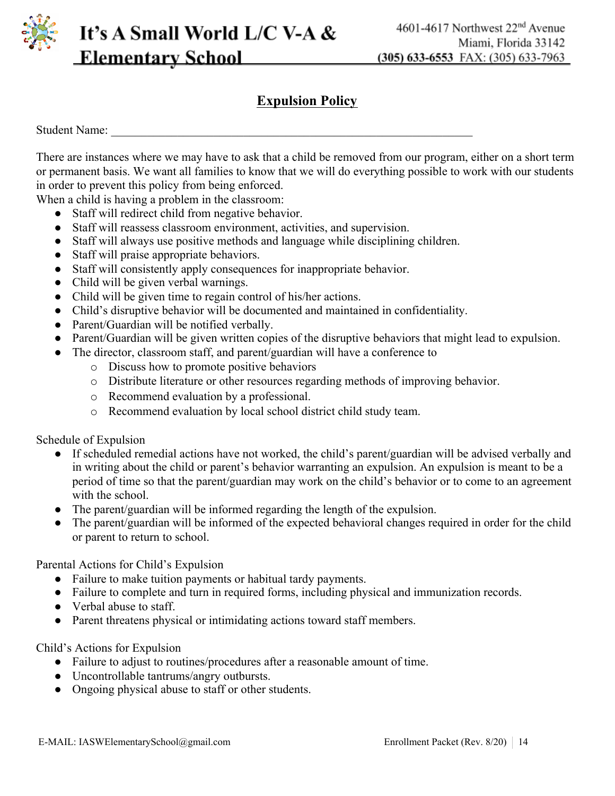

#### **Expulsion Policy**

Student Name:

There are instances where we may have to ask that a child be removed from our program, either on a short term or permanent basis. We want all families to know that we will do everything possible to work with our students in order to prevent this policy from being enforced.

When a child is having a problem in the classroom:

- Staff will redirect child from negative behavior.
- Staff will reassess classroom environment, activities, and supervision.
- Staff will always use positive methods and language while disciplining children.
- Staff will praise appropriate behaviors.
- Staff will consistently apply consequences for inappropriate behavior.
- Child will be given verbal warnings.
- Child will be given time to regain control of his/her actions.
- Child's disruptive behavior will be documented and maintained in confidentiality.
- Parent/Guardian will be notified verbally.
- Parent/Guardian will be given written copies of the disruptive behaviors that might lead to expulsion.
- The director, classroom staff, and parent/guardian will have a conference to
	- o Discuss how to promote positive behaviors
	- o Distribute literature or other resources regarding methods of improving behavior.
	- o Recommend evaluation by a professional.
	- o Recommend evaluation by local school district child study team.

Schedule of Expulsion

- If scheduled remedial actions have not worked, the child's parent/guardian will be advised verbally and in writing about the child or parent's behavior warranting an expulsion. An expulsion is meant to be a period of time so that the parent/guardian may work on the child's behavior or to come to an agreement with the school.
- The parent/guardian will be informed regarding the length of the expulsion.
- The parent/guardian will be informed of the expected behavioral changes required in order for the child or parent to return to school.

Parental Actions for Child's Expulsion

- Failure to make tuition payments or habitual tardy payments.
- Failure to complete and turn in required forms, including physical and immunization records.
- Verbal abuse to staff.
- Parent threatens physical or intimidating actions toward staff members.

Child's Actions for Expulsion

- Failure to adjust to routines/procedures after a reasonable amount of time.
- Uncontrollable tantrums/angry outbursts.
- Ongoing physical abuse to staff or other students.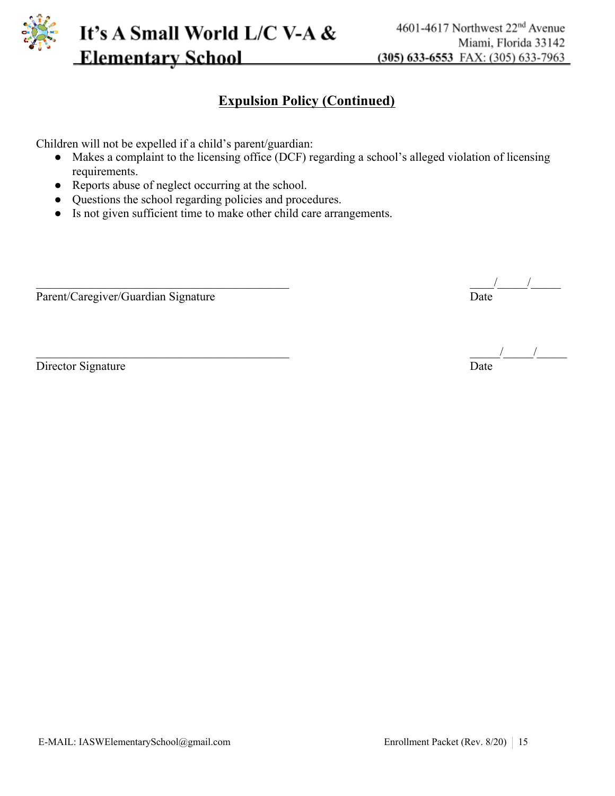

#### **Expulsion Policy (Continued)**

Children will not be expelled if a child's parent/guardian:

- Makes a complaint to the licensing office (DCF) regarding a school's alleged violation of licensing requirements.
- Reports abuse of neglect occurring at the school.
- Questions the school regarding policies and procedures.
- Is not given sufficient time to make other child care arrangements.

Parent/Caregiver/Guardian Signature

Director Signature

\_\_\_\_\_\_\_\_\_\_\_\_\_\_\_\_\_\_\_\_\_\_\_\_\_\_\_\_\_\_\_\_\_\_\_\_\_\_\_\_\_\_ \_\_\_\_/\_\_\_\_\_/\_\_\_\_\_

\_\_\_\_\_\_\_\_\_\_\_\_\_\_\_\_\_\_\_\_\_\_\_\_\_\_\_\_\_\_\_\_\_\_\_\_\_\_\_\_\_\_ \_\_\_\_\_/\_\_\_\_\_/\_\_\_\_\_